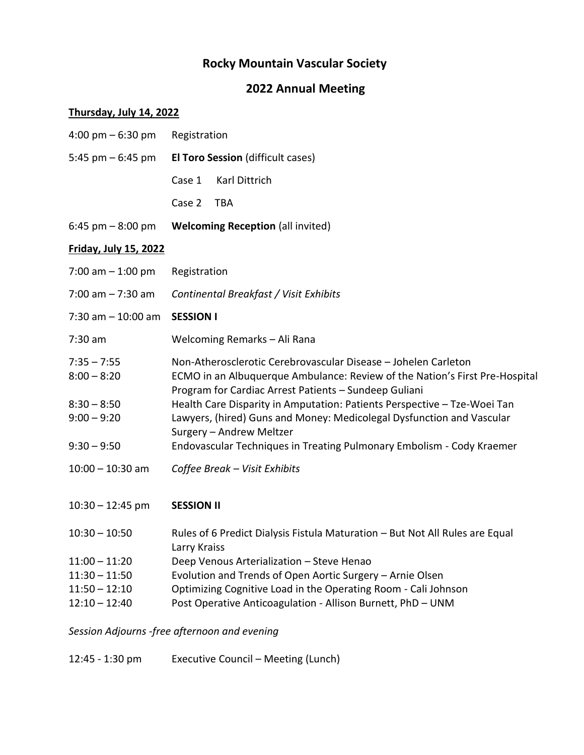# **Rocky Mountain Vascular Society**

# **2022 Annual Meeting**

### **Thursday, July 14, 2022**

| 4:00 pm $-6:30$ pm                                                                | Registration                                                                                                                                                                                                                                                                                                                                                                                                                                                     |  |
|-----------------------------------------------------------------------------------|------------------------------------------------------------------------------------------------------------------------------------------------------------------------------------------------------------------------------------------------------------------------------------------------------------------------------------------------------------------------------------------------------------------------------------------------------------------|--|
| 5:45 pm $-$ 6:45 pm                                                               | <b>El Toro Session (difficult cases)</b>                                                                                                                                                                                                                                                                                                                                                                                                                         |  |
|                                                                                   | Karl Dittrich<br>Case 1                                                                                                                                                                                                                                                                                                                                                                                                                                          |  |
|                                                                                   | <b>TBA</b><br>Case 2                                                                                                                                                                                                                                                                                                                                                                                                                                             |  |
| 6:45 pm $-$ 8:00 pm                                                               | <b>Welcoming Reception (all invited)</b>                                                                                                                                                                                                                                                                                                                                                                                                                         |  |
| <b>Friday, July 15, 2022</b>                                                      |                                                                                                                                                                                                                                                                                                                                                                                                                                                                  |  |
| 7:00 am $-$ 1:00 pm                                                               | Registration                                                                                                                                                                                                                                                                                                                                                                                                                                                     |  |
| $7:00$ am $-7:30$ am                                                              | Continental Breakfast / Visit Exhibits                                                                                                                                                                                                                                                                                                                                                                                                                           |  |
| $7:30$ am $-10:00$ am                                                             | <b>SESSION I</b>                                                                                                                                                                                                                                                                                                                                                                                                                                                 |  |
| $7:30$ am                                                                         | Welcoming Remarks - Ali Rana                                                                                                                                                                                                                                                                                                                                                                                                                                     |  |
| $7:35 - 7:55$<br>$8:00 - 8:20$<br>$8:30 - 8:50$<br>$9:00 - 9:20$<br>$9:30 - 9:50$ | Non-Atherosclerotic Cerebrovascular Disease - Johelen Carleton<br>ECMO in an Albuquerque Ambulance: Review of the Nation's First Pre-Hospital<br>Program for Cardiac Arrest Patients - Sundeep Guliani<br>Health Care Disparity in Amputation: Patients Perspective - Tze-Woei Tan<br>Lawyers, (hired) Guns and Money: Medicolegal Dysfunction and Vascular<br>Surgery - Andrew Meltzer<br>Endovascular Techniques in Treating Pulmonary Embolism - Cody Kraemer |  |
| $10:00 - 10:30$ am                                                                | Coffee Break - Visit Exhibits                                                                                                                                                                                                                                                                                                                                                                                                                                    |  |
| $10:30 - 12:45$ pm                                                                | <b>SESSION II</b>                                                                                                                                                                                                                                                                                                                                                                                                                                                |  |
| $10:30 - 10:50$                                                                   | Rules of 6 Predict Dialysis Fistula Maturation - But Not All Rules are Equal<br>Larry Kraiss                                                                                                                                                                                                                                                                                                                                                                     |  |
| $11:00 - 11:20$                                                                   | Deep Venous Arterialization - Steve Henao                                                                                                                                                                                                                                                                                                                                                                                                                        |  |
| $11:30 - 11:50$                                                                   | Evolution and Trends of Open Aortic Surgery - Arnie Olsen                                                                                                                                                                                                                                                                                                                                                                                                        |  |
| $11:50 - 12:10$                                                                   | Optimizing Cognitive Load in the Operating Room - Cali Johnson                                                                                                                                                                                                                                                                                                                                                                                                   |  |
| $12:10 - 12:40$                                                                   | Post Operative Anticoagulation - Allison Burnett, PhD - UNM                                                                                                                                                                                                                                                                                                                                                                                                      |  |
|                                                                                   | Session Adjourns -free afternoon and evening                                                                                                                                                                                                                                                                                                                                                                                                                     |  |

12:45 - 1:30 pm Executive Council – Meeting (Lunch)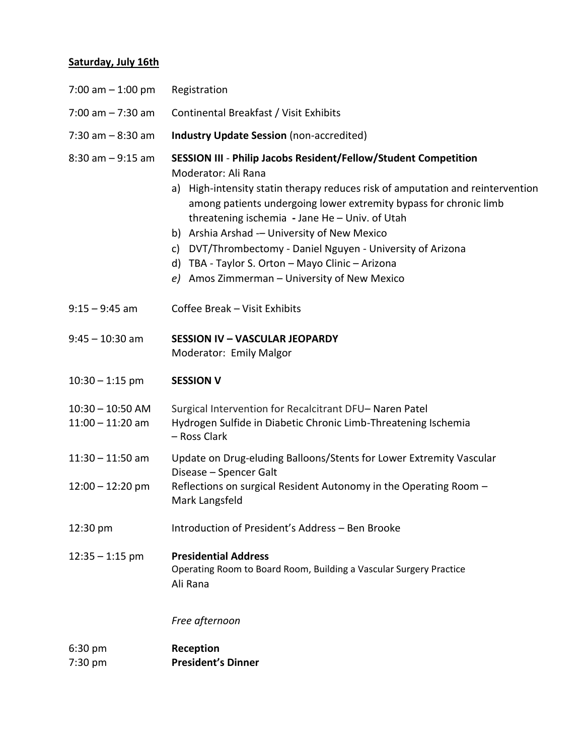### **Saturday, July 16th**

| 7:00 am $-$ 1:00 pm                      | Registration                                                                                                                                                                                                                                                                                                                                                                                                                                                                                                         |  |
|------------------------------------------|----------------------------------------------------------------------------------------------------------------------------------------------------------------------------------------------------------------------------------------------------------------------------------------------------------------------------------------------------------------------------------------------------------------------------------------------------------------------------------------------------------------------|--|
| $7:00$ am $-7:30$ am                     | Continental Breakfast / Visit Exhibits                                                                                                                                                                                                                                                                                                                                                                                                                                                                               |  |
| $7:30$ am $-8:30$ am                     | <b>Industry Update Session (non-accredited)</b>                                                                                                                                                                                                                                                                                                                                                                                                                                                                      |  |
| $8:30$ am $-9:15$ am                     | SESSION III - Philip Jacobs Resident/Fellow/Student Competition<br>Moderator: Ali Rana<br>a) High-intensity statin therapy reduces risk of amputation and reintervention<br>among patients undergoing lower extremity bypass for chronic limb<br>threatening ischemia - Jane He - Univ. of Utah<br>b) Arshia Arshad - University of New Mexico<br>c) DVT/Thrombectomy - Daniel Nguyen - University of Arizona<br>d) TBA - Taylor S. Orton - Mayo Clinic - Arizona<br>Amos Zimmerman - University of New Mexico<br>e) |  |
| $9:15 - 9:45$ am                         | Coffee Break - Visit Exhibits                                                                                                                                                                                                                                                                                                                                                                                                                                                                                        |  |
| $9:45 - 10:30$ am                        | <b>SESSION IV - VASCULAR JEOPARDY</b><br>Moderator: Emily Malgor                                                                                                                                                                                                                                                                                                                                                                                                                                                     |  |
| $10:30 - 1:15$ pm                        | <b>SESSION V</b>                                                                                                                                                                                                                                                                                                                                                                                                                                                                                                     |  |
| $10:30 - 10:50$ AM<br>$11:00 - 11:20$ am | Surgical Intervention for Recalcitrant DFU-Naren Patel<br>Hydrogen Sulfide in Diabetic Chronic Limb-Threatening Ischemia<br>- Ross Clark                                                                                                                                                                                                                                                                                                                                                                             |  |
| $11:30 - 11:50$ am                       | Update on Drug-eluding Balloons/Stents for Lower Extremity Vascular<br>Disease - Spencer Galt                                                                                                                                                                                                                                                                                                                                                                                                                        |  |
| $12:00 - 12:20$ pm                       | Reflections on surgical Resident Autonomy in the Operating Room -<br>Mark Langsfeld                                                                                                                                                                                                                                                                                                                                                                                                                                  |  |
| 12:30 pm                                 | Introduction of President's Address - Ben Brooke                                                                                                                                                                                                                                                                                                                                                                                                                                                                     |  |
| $12:35 - 1:15$ pm                        | <b>Presidential Address</b><br>Operating Room to Board Room, Building a Vascular Surgery Practice<br>Ali Rana                                                                                                                                                                                                                                                                                                                                                                                                        |  |
|                                          | Free afternoon                                                                                                                                                                                                                                                                                                                                                                                                                                                                                                       |  |
| 6:30 pm<br>7:30 pm                       | Reception<br><b>President's Dinner</b>                                                                                                                                                                                                                                                                                                                                                                                                                                                                               |  |